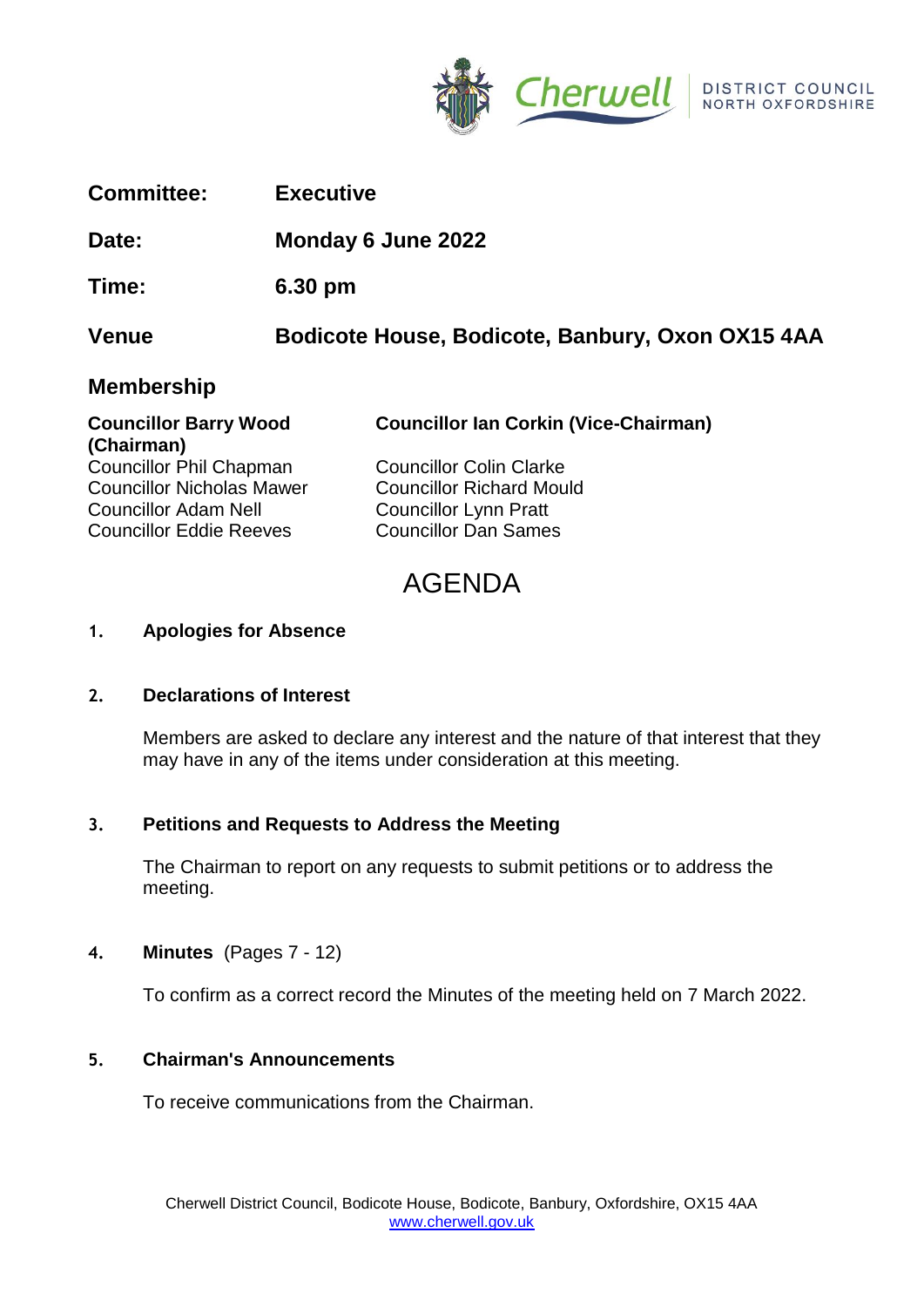

| <b>Committee:</b> | <b>Executive</b> |
|-------------------|------------------|
|-------------------|------------------|

# **Date: Monday 6 June 2022**

**Time: 6.30 pm**

**Venue Bodicote House, Bodicote, Banbury, Oxon OX15 4AA**

# **Membership**

| <b>Councillor Barry Wood</b>     | <b>Councillor Ian Corkin (Vice-Chairman)</b> |  |
|----------------------------------|----------------------------------------------|--|
| (Chairman)                       |                                              |  |
| <b>Councillor Phil Chapman</b>   | <b>Councillor Colin Clarke</b>               |  |
| <b>Councillor Nicholas Mawer</b> | <b>Councillor Richard Mould</b>              |  |
| <b>Councillor Adam Nell</b>      | <b>Councillor Lynn Pratt</b>                 |  |

# AGENDA

## **1. Apologies for Absence**

## **2. Declarations of Interest**

Members are asked to declare any interest and the nature of that interest that they may have in any of the items under consideration at this meeting.

## **3. Petitions and Requests to Address the Meeting**

Councillor Eddie Reeves Councillor Dan Sames

The Chairman to report on any requests to submit petitions or to address the meeting.

## **4. Minutes** (Pages 7 - 12)

To confirm as a correct record the Minutes of the meeting held on 7 March 2022.

## **5. Chairman's Announcements**

To receive communications from the Chairman.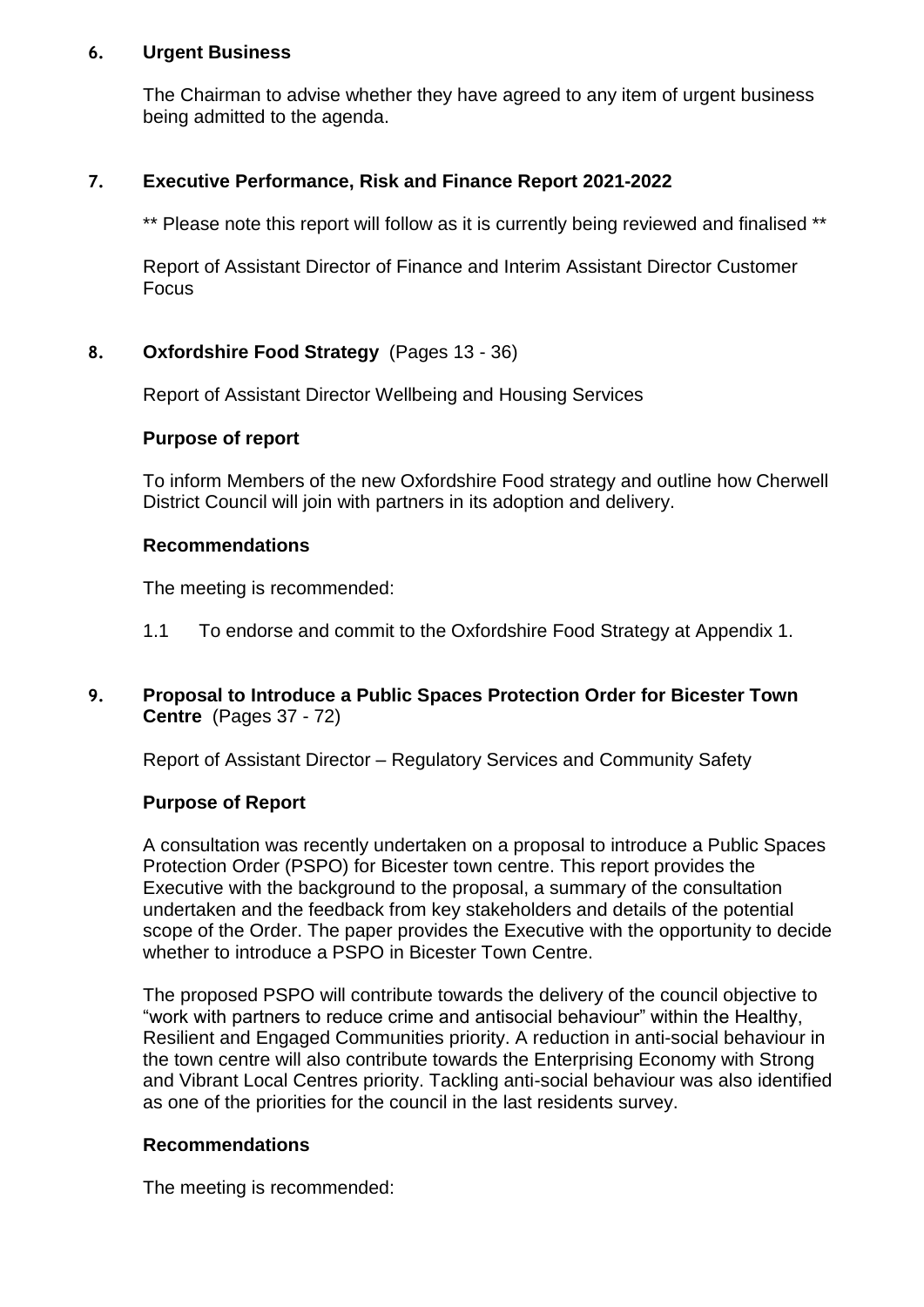## **6. Urgent Business**

The Chairman to advise whether they have agreed to any item of urgent business being admitted to the agenda.

## **7. Executive Performance, Risk and Finance Report 2021-2022**

\*\* Please note this report will follow as it is currently being reviewed and finalised \*\*

Report of Assistant Director of Finance and Interim Assistant Director Customer Focus

## **8. Oxfordshire Food Strategy** (Pages 13 - 36)

Report of Assistant Director Wellbeing and Housing Services

## **Purpose of report**

To inform Members of the new Oxfordshire Food strategy and outline how Cherwell District Council will join with partners in its adoption and delivery.

#### **Recommendations**

The meeting is recommended:

- 1.1 To endorse and commit to the Oxfordshire Food Strategy at Appendix 1.
- **9. Proposal to Introduce a Public Spaces Protection Order for Bicester Town Centre** (Pages 37 - 72)

Report of Assistant Director – Regulatory Services and Community Safety

## **Purpose of Report**

A consultation was recently undertaken on a proposal to introduce a Public Spaces Protection Order (PSPO) for Bicester town centre. This report provides the Executive with the background to the proposal, a summary of the consultation undertaken and the feedback from key stakeholders and details of the potential scope of the Order. The paper provides the Executive with the opportunity to decide whether to introduce a PSPO in Bicester Town Centre.

The proposed PSPO will contribute towards the delivery of the council objective to "work with partners to reduce crime and antisocial behaviour" within the Healthy, Resilient and Engaged Communities priority. A reduction in anti-social behaviour in the town centre will also contribute towards the Enterprising Economy with Strong and Vibrant Local Centres priority. Tackling anti-social behaviour was also identified as one of the priorities for the council in the last residents survey.

## **Recommendations**

The meeting is recommended: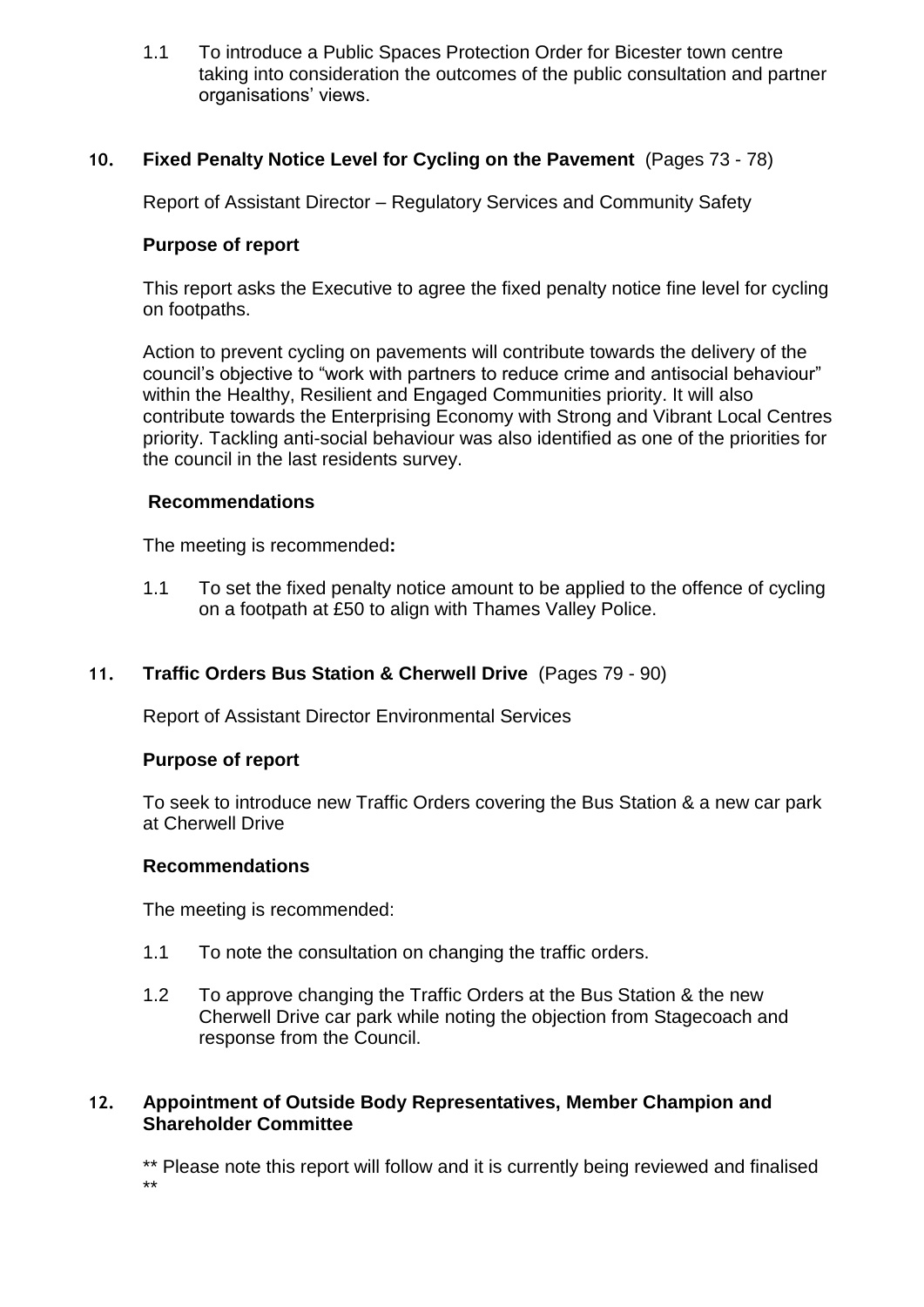1.1 To introduce a Public Spaces Protection Order for Bicester town centre taking into consideration the outcomes of the public consultation and partner organisations' views.

## **10. Fixed Penalty Notice Level for Cycling on the Pavement** (Pages 73 - 78)

Report of Assistant Director – Regulatory Services and Community Safety

## **Purpose of report**

This report asks the Executive to agree the fixed penalty notice fine level for cycling on footpaths.

Action to prevent cycling on pavements will contribute towards the delivery of the council's objective to "work with partners to reduce crime and antisocial behaviour" within the Healthy, Resilient and Engaged Communities priority. It will also contribute towards the Enterprising Economy with Strong and Vibrant Local Centres priority. Tackling anti-social behaviour was also identified as one of the priorities for the council in the last residents survey.

## **Recommendations**

The meeting is recommended**:** 

1.1 To set the fixed penalty notice amount to be applied to the offence of cycling on a footpath at £50 to align with Thames Valley Police.

## **11. Traffic Orders Bus Station & Cherwell Drive** (Pages 79 - 90)

Report of Assistant Director Environmental Services

#### **Purpose of report**

To seek to introduce new Traffic Orders covering the Bus Station & a new car park at Cherwell Drive

#### **Recommendations**

The meeting is recommended:

- 1.1 To note the consultation on changing the traffic orders.
- 1.2 To approve changing the Traffic Orders at the Bus Station & the new Cherwell Drive car park while noting the objection from Stagecoach and response from the Council.

## **12. Appointment of Outside Body Representatives, Member Champion and Shareholder Committee**

\*\* Please note this report will follow and it is currently being reviewed and finalised \*\*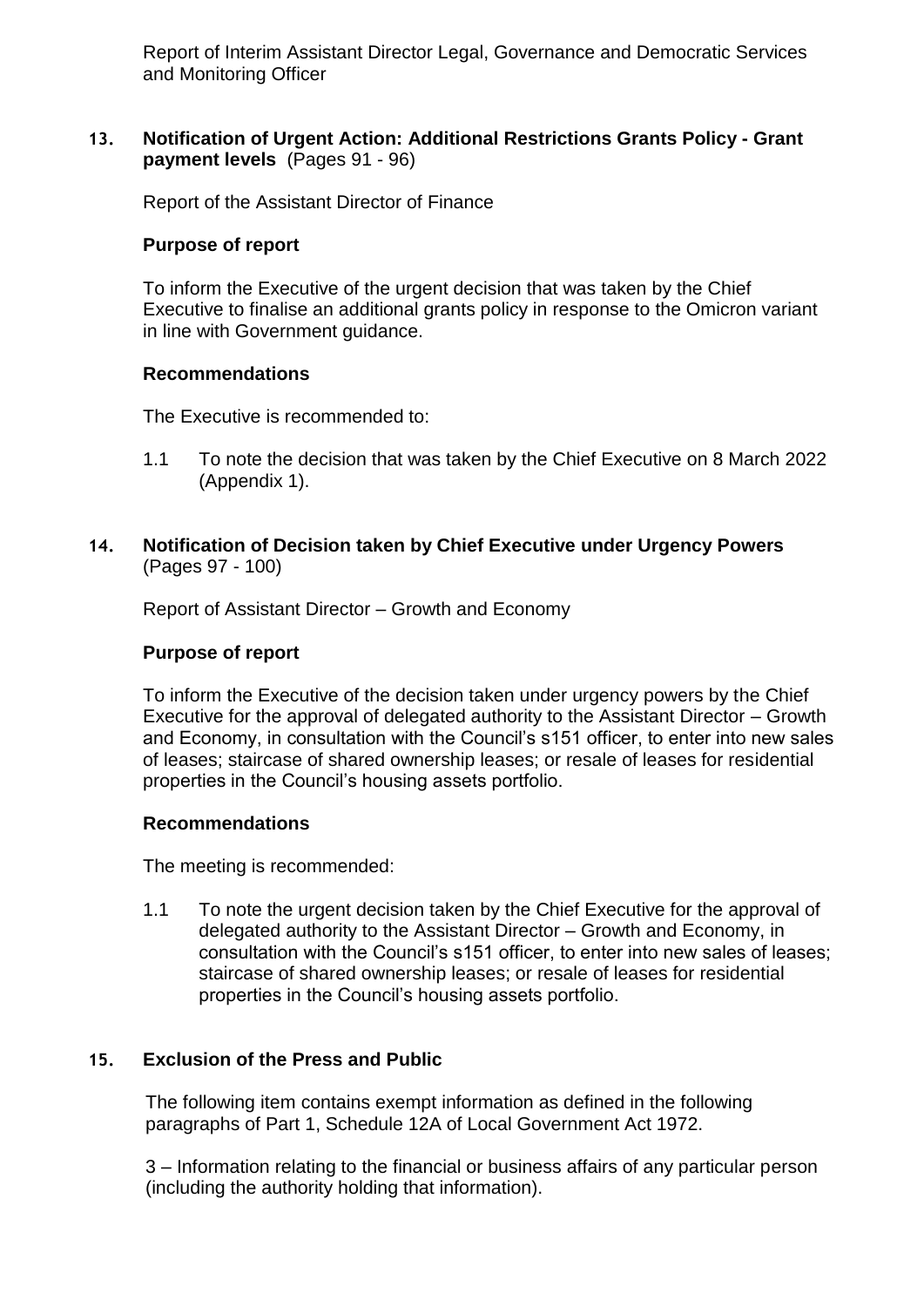Report of Interim Assistant Director Legal, Governance and Democratic Services and Monitoring Officer

## **13. Notification of Urgent Action: Additional Restrictions Grants Policy - Grant payment levels** (Pages 91 - 96)

Report of the Assistant Director of Finance

#### **Purpose of report**

To inform the Executive of the urgent decision that was taken by the Chief Executive to finalise an additional grants policy in response to the Omicron variant in line with Government guidance.

#### **Recommendations**

The Executive is recommended to:

- 1.1 To note the decision that was taken by the Chief Executive on 8 March 2022 (Appendix 1).
- **14. Notification of Decision taken by Chief Executive under Urgency Powers**  (Pages 97 - 100)

Report of Assistant Director – Growth and Economy

#### **Purpose of report**

To inform the Executive of the decision taken under urgency powers by the Chief Executive for the approval of delegated authority to the Assistant Director – Growth and Economy, in consultation with the Council's s151 officer, to enter into new sales of leases; staircase of shared ownership leases; or resale of leases for residential properties in the Council's housing assets portfolio.

#### **Recommendations**

The meeting is recommended:

1.1 To note the urgent decision taken by the Chief Executive for the approval of delegated authority to the Assistant Director – Growth and Economy, in consultation with the Council's s151 officer, to enter into new sales of leases; staircase of shared ownership leases; or resale of leases for residential properties in the Council's housing assets portfolio.

## **15. Exclusion of the Press and Public**

The following item contains exempt information as defined in the following paragraphs of Part 1, Schedule 12A of Local Government Act 1972.

3 – Information relating to the financial or business affairs of any particular person (including the authority holding that information).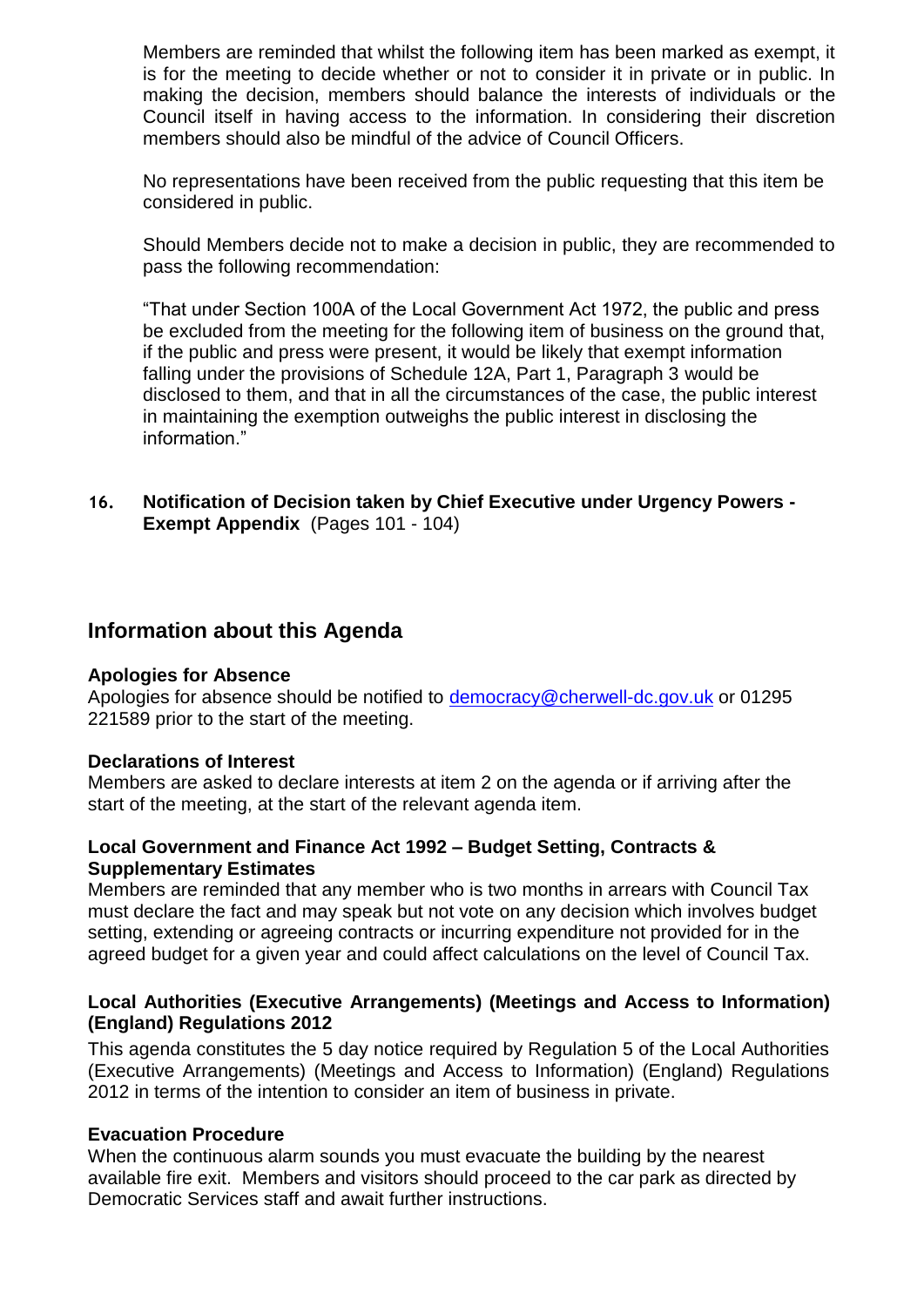Members are reminded that whilst the following item has been marked as exempt, it is for the meeting to decide whether or not to consider it in private or in public. In making the decision, members should balance the interests of individuals or the Council itself in having access to the information. In considering their discretion members should also be mindful of the advice of Council Officers.

No representations have been received from the public requesting that this item be considered in public.

Should Members decide not to make a decision in public, they are recommended to pass the following recommendation:

"That under Section 100A of the Local Government Act 1972, the public and press be excluded from the meeting for the following item of business on the ground that, if the public and press were present, it would be likely that exempt information falling under the provisions of Schedule 12A, Part 1, Paragraph 3 would be disclosed to them, and that in all the circumstances of the case, the public interest in maintaining the exemption outweighs the public interest in disclosing the information."

**16. Notification of Decision taken by Chief Executive under Urgency Powers - Exempt Appendix** (Pages 101 - 104)

# **Information about this Agenda**

#### **Apologies for Absence**

Apologies for absence should be notified to [democracy@cherwell-dc.gov.uk](mailto:democracy@cherwellandsouthnorthants.gov.uk) or 01295 221589 prior to the start of the meeting.

#### **Declarations of Interest**

Members are asked to declare interests at item 2 on the agenda or if arriving after the start of the meeting, at the start of the relevant agenda item.

## **Local Government and Finance Act 1992 – Budget Setting, Contracts & Supplementary Estimates**

Members are reminded that any member who is two months in arrears with Council Tax must declare the fact and may speak but not vote on any decision which involves budget setting, extending or agreeing contracts or incurring expenditure not provided for in the agreed budget for a given year and could affect calculations on the level of Council Tax.

## **Local Authorities (Executive Arrangements) (Meetings and Access to Information) (England) Regulations 2012**

This agenda constitutes the 5 day notice required by Regulation 5 of the Local Authorities (Executive Arrangements) (Meetings and Access to Information) (England) Regulations 2012 in terms of the intention to consider an item of business in private.

## **Evacuation Procedure**

When the continuous alarm sounds you must evacuate the building by the nearest available fire exit. Members and visitors should proceed to the car park as directed by Democratic Services staff and await further instructions.